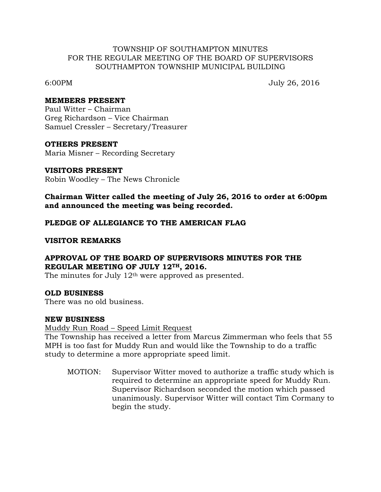### TOWNSHIP OF SOUTHAMPTON MINUTES FOR THE REGULAR MEETING OF THE BOARD OF SUPERVISORS SOUTHAMPTON TOWNSHIP MUNICIPAL BUILDING

6:00PM July 26, 2016

#### **MEMBERS PRESENT**

Paul Witter – Chairman Greg Richardson – Vice Chairman Samuel Cressler – Secretary/Treasurer

#### **OTHERS PRESENT**

Maria Misner – Recording Secretary

#### **VISITORS PRESENT**

Robin Woodley – The News Chronicle

# **Chairman Witter called the meeting of July 26, 2016 to order at 6:00pm and announced the meeting was being recorded.**

# **PLEDGE OF ALLEGIANCE TO THE AMERICAN FLAG**

#### **VISITOR REMARKS**

# **APPROVAL OF THE BOARD OF SUPERVISORS MINUTES FOR THE REGULAR MEETING OF JULY 12TH, 2016.**

The minutes for July  $12<sup>th</sup>$  were approved as presented.

# **OLD BUSINESS**

There was no old business.

# **NEW BUSINESS**

Muddy Run Road – Speed Limit Request

The Township has received a letter from Marcus Zimmerman who feels that 55 MPH is too fast for Muddy Run and would like the Township to do a traffic study to determine a more appropriate speed limit.

MOTION: Supervisor Witter moved to authorize a traffic study which is required to determine an appropriate speed for Muddy Run. Supervisor Richardson seconded the motion which passed unanimously. Supervisor Witter will contact Tim Cormany to begin the study.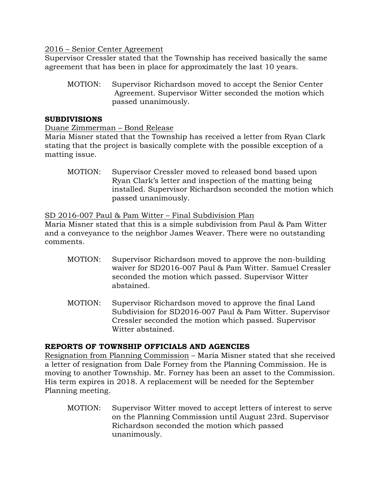# 2016 – Senior Center Agreement

Supervisor Cressler stated that the Township has received basically the same agreement that has been in place for approximately the last 10 years.

MOTION: Supervisor Richardson moved to accept the Senior Center Agreement. Supervisor Witter seconded the motion which passed unanimously.

# **SUBDIVISIONS**

# Duane Zimmerman – Bond Release

Maria Misner stated that the Township has received a letter from Ryan Clark stating that the project is basically complete with the possible exception of a matting issue.

MOTION: Supervisor Cressler moved to released bond based upon Ryan Clark's letter and inspection of the matting being installed. Supervisor Richardson seconded the motion which passed unanimously.

SD 2016-007 Paul & Pam Witter – Final Subdivision Plan

Maria Misner stated that this is a simple subdivision from Paul & Pam Witter and a conveyance to the neighbor James Weaver. There were no outstanding comments.

- MOTION: Supervisor Richardson moved to approve the non-building waiver for SD2016-007 Paul & Pam Witter. Samuel Cressler seconded the motion which passed. Supervisor Witter abstained.
- MOTION: Supervisor Richardson moved to approve the final Land Subdivision for SD2016-007 Paul & Pam Witter. Supervisor Cressler seconded the motion which passed. Supervisor Witter abstained.

# **REPORTS OF TOWNSHIP OFFICIALS AND AGENCIES**

Resignation from Planning Commission – Maria Misner stated that she received a letter of resignation from Dale Forney from the Planning Commission. He is moving to another Township. Mr. Forney has been an asset to the Commission. His term expires in 2018. A replacement will be needed for the September Planning meeting.

MOTION: Supervisor Witter moved to accept letters of interest to serve on the Planning Commission until August 23rd. Supervisor Richardson seconded the motion which passed unanimously.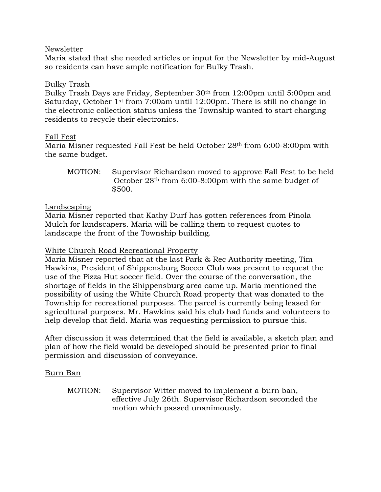### Newsletter

Maria stated that she needed articles or input for the Newsletter by mid-August so residents can have ample notification for Bulky Trash.

### Bulky Trash

Bulky Trash Days are Friday, September 30th from 12:00pm until 5:00pm and Saturday, October 1st from 7:00am until 12:00pm. There is still no change in the electronic collection status unless the Township wanted to start charging residents to recycle their electronics.

### Fall Fest

Maria Misner requested Fall Fest be held October 28th from 6:00-8:00pm with the same budget.

MOTION: Supervisor Richardson moved to approve Fall Fest to be held October 28th from 6:00-8:00pm with the same budget of \$500.

# Landscaping

Maria Misner reported that Kathy Durf has gotten references from Pinola Mulch for landscapers. Maria will be calling them to request quotes to landscape the front of the Township building.

# White Church Road Recreational Property

Maria Misner reported that at the last Park & Rec Authority meeting, Tim Hawkins, President of Shippensburg Soccer Club was present to request the use of the Pizza Hut soccer field. Over the course of the conversation, the shortage of fields in the Shippensburg area came up. Maria mentioned the possibility of using the White Church Road property that was donated to the Township for recreational purposes. The parcel is currently being leased for agricultural purposes. Mr. Hawkins said his club had funds and volunteers to help develop that field. Maria was requesting permission to pursue this.

After discussion it was determined that the field is available, a sketch plan and plan of how the field would be developed should be presented prior to final permission and discussion of conveyance.

# Burn Ban

MOTION: Supervisor Witter moved to implement a burn ban, effective July 26th. Supervisor Richardson seconded the motion which passed unanimously.